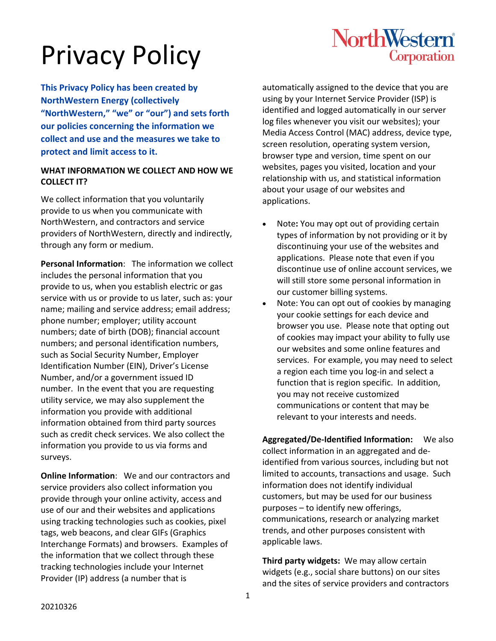## NorthWestern® Corporation

**This Privacy Policy has been created by NorthWestern Energy (collectively "NorthWestern," "we" or "our") and sets forth our policies concerning the information we collect and use and the measures we take to protect and limit access to it.**

## **WHAT INFORMATION WE COLLECT AND HOW WE COLLECT IT?**

We collect information that you voluntarily provide to us when you communicate with NorthWestern, and contractors and service providers of NorthWestern, directly and indirectly, through any form or medium.

**Personal Information**: The information we collect includes the personal information that you provide to us, when you establish electric or gas service with us or provide to us later, such as: your name; mailing and service address; email address; phone number; employer; utility account numbers; date of birth (DOB); financial account numbers; and personal identification numbers, such as Social Security Number, Employer Identification Number (EIN), Driver's License Number, and/or a government issued ID number. In the event that you are requesting utility service, we may also supplement the information you provide with additional information obtained from third party sources such as credit check services. We also collect the information you provide to us via forms and surveys.

**Online Information**: We and our contractors and service providers also collect information you provide through your online activity, access and use of our and their websites and applications using tracking technologies such as cookies, pixel tags, web beacons, and clear GIFs (Graphics Interchange Formats) and browsers. Examples of the information that we collect through these tracking technologies include your Internet Provider (IP) address (a number that is

automatically assigned to the device that you are using by your Internet Service Provider (ISP) is identified and logged automatically in our server log files whenever you visit our websites); your Media Access Control (MAC) address, device type, screen resolution, operating system version, browser type and version, time spent on our websites, pages you visited, location and your relationship with us, and statistical information about your usage of our websites and applications.

- Note**:** You may opt out of providing certain types of information by not providing or it by discontinuing your use of the websites and applications. Please note that even if you discontinue use of online account services, we will still store some personal information in our customer billing systems.
- Note: You can opt out of cookies by managing your cookie settings for each device and browser you use. Please note that opting out of cookies may impact your ability to fully use our websites and some online features and services. For example, you may need to select a region each time you log-in and select a function that is region specific. In addition, you may not receive customized communications or content that may be relevant to your interests and needs.

**Aggregated/De-Identified Information:** We also collect information in an aggregated and deidentified from various sources, including but not limited to accounts, transactions and usage. Such information does not identify individual customers, but may be used for our business purposes – to identify new offerings, communications, research or analyzing market trends, and other purposes consistent with applicable laws.

**Third party widgets:** We may allow certain widgets (e.g., social share buttons) on our sites and the sites of service providers and contractors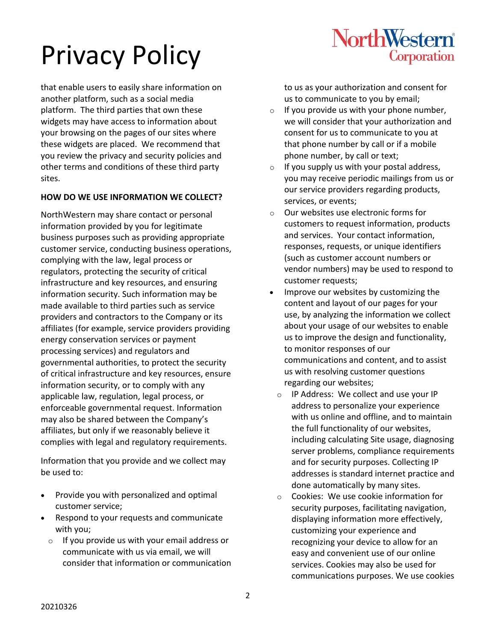that enable users to easily share information on another platform, such as a social media platform. The third parties that own these widgets may have access to information about your browsing on the pages of our sites where these widgets are placed. We recommend that you review the privacy and security policies and other terms and conditions of these third party sites.

## **HOW DO WE USE INFORMATION WE COLLECT?**

NorthWestern may share contact or personal information provided by you for legitimate business purposes such as providing appropriate customer service, conducting business operations, complying with the law, legal process or regulators, protecting the security of critical infrastructure and key resources, and ensuring information security. Such information may be made available to third parties such as service providers and contractors to the Company or its affiliates (for example, service providers providing energy conservation services or payment processing services) and regulators and governmental authorities, to protect the security of critical infrastructure and key resources, ensure information security, or to comply with any applicable law, regulation, legal process, or enforceable governmental request. Information may also be shared between the Company's affiliates, but only if we reasonably believe it complies with legal and regulatory requirements.

Information that you provide and we collect may be used to:

- Provide you with personalized and optimal customer service;
- Respond to your requests and communicate with you;
	- $\circ$  If you provide us with your email address or communicate with us via email, we will consider that information or communication

to us as your authorization and consent for us to communicate to you by email;

**NorthWestern** 

Corporation

- $\circ$  If you provide us with your phone number, we will consider that your authorization and consent for us to communicate to you at that phone number by call or if a mobile phone number, by call or text;
- $\circ$  If you supply us with your postal address, you may receive periodic mailings from us or our service providers regarding products, services, or events;
- o Our websites use electronic forms for customers to request information, products and services. Your contact information, responses, requests, or unique identifiers (such as customer account numbers or vendor numbers) may be used to respond to customer requests;
- Improve our websites by customizing the content and layout of our pages for your use, by analyzing the information we collect about your usage of our websites to enable us to improve the design and functionality, to monitor responses of our communications and content, and to assist us with resolving customer questions regarding our websites;
	- o IP Address: We collect and use your IP address to personalize your experience with us online and offline, and to maintain the full functionality of our websites, including calculating Site usage, diagnosing server problems, compliance requirements and for security purposes. Collecting IP addresses is standard internet practice and done automatically by many sites.
	- o Cookies: We use cookie information for security purposes, facilitating navigation, displaying information more effectively, customizing your experience and recognizing your device to allow for an easy and convenient use of our online services. Cookies may also be used for communications purposes. We use cookies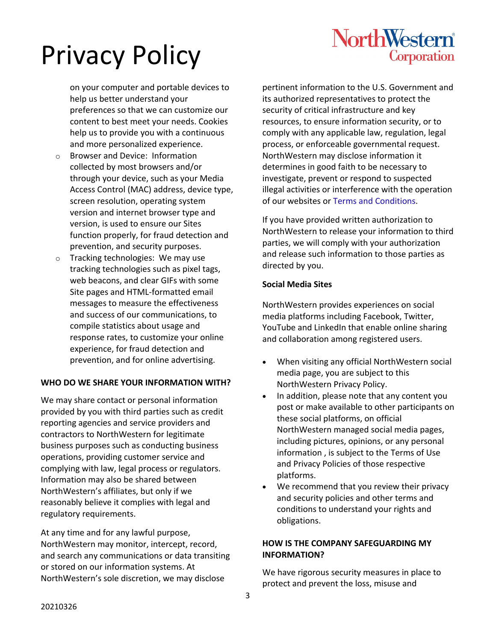

on your computer and portable devices to help us better understand your preferences so that we can customize our content to best meet your needs. Cookies help us to provide you with a continuous and more personalized experience.

- o Browser and Device: Information collected by most browsers and/or through your device, such as your Media Access Control (MAC) address, device type, screen resolution, operating system version and internet browser type and version, is used to ensure our Sites function properly, for fraud detection and prevention, and security purposes.
- o Tracking technologies: We may use tracking technologies such as pixel tags, web beacons, and clear GIFs with some Site pages and HTML-formatted email messages to measure the effectiveness and success of our communications, to compile statistics about usage and response rates, to customize your online experience, for fraud detection and prevention, and for online advertising.

## **WHO DO WE SHARE YOUR INFORMATION WITH?**

We may share contact or personal information provided by you with third parties such as credit reporting agencies and service providers and contractors to NorthWestern for legitimate business purposes such as conducting business operations, providing customer service and complying with law, legal process or regulators. Information may also be shared between NorthWestern's affiliates, but only if we reasonably believe it complies with legal and regulatory requirements.

At any time and for any lawful purpose, NorthWestern may monitor, intercept, record, and search any communications or data transiting or stored on our information systems. At NorthWestern's sole discretion, we may disclose

pertinent information to the U.S. Government and its authorized representatives to protect the security of critical infrastructure and key resources, to ensure information security, or to comply with any applicable law, regulation, legal process, or enforceable governmental request. NorthWestern may disclose information it determines in good faith to be necessary to investigate, prevent or respond to suspected illegal activities or interference with the operation of our websites or [Terms and Conditions.](https://www.northwesternenergy.com/terms-of-use)

If you have provided written authorization to NorthWestern to release your information to third parties, we will comply with your authorization and release such information to those parties as directed by you.

#### **Social Media Sites**

NorthWestern provides experiences on social media platforms including Facebook, Twitter, YouTube and LinkedIn that enable online sharing and collaboration among registered users.

- When visiting any official NorthWestern social media page, you are subject to this NorthWestern Privacy Policy.
- In addition, please note that any content you post or make available to other participants on these social platforms, on official NorthWestern managed social media pages, including pictures, opinions, or any personal information , is subject to the Terms of Use and Privacy Policies of those respective platforms.
- We recommend that you review their privacy and security policies and other terms and conditions to understand your rights and obligations.

## **HOW IS THE COMPANY SAFEGUARDING MY INFORMATION?**

We have rigorous security measures in place to protect and prevent the loss, misuse and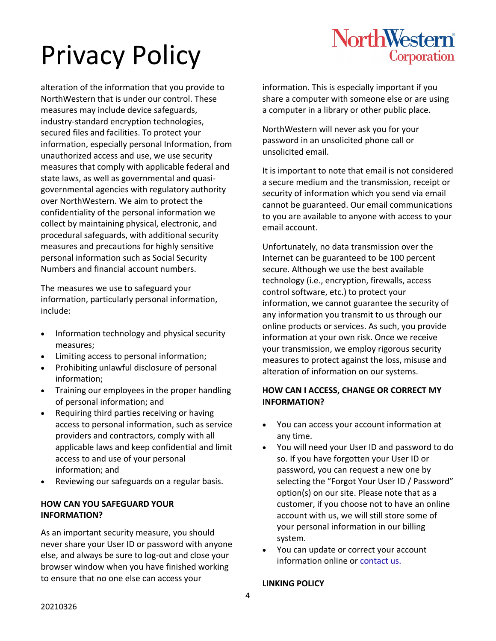## NorthWestern® Corporation

# Privacy Policy

alteration of the information that you provide to NorthWestern that is under our control. These measures may include device safeguards, industry-standard encryption technologies, secured files and facilities. To protect your information, especially personal Information, from unauthorized access and use, we use security measures that comply with applicable federal and state laws, as well as governmental and quasigovernmental agencies with regulatory authority over NorthWestern. We aim to protect the confidentiality of the personal information we collect by maintaining physical, electronic, and procedural safeguards, with additional security measures and precautions for highly sensitive personal information such as Social Security Numbers and financial account numbers.

The measures we use to safeguard your information, particularly personal information, include:

- Information technology and physical security measures;
- Limiting access to personal information;
- Prohibiting unlawful disclosure of personal information;
- Training our employees in the proper handling of personal information; and
- Requiring third parties receiving or having access to personal information, such as service providers and contractors, comply with all applicable laws and keep confidential and limit access to and use of your personal information; and
- Reviewing our safeguards on a regular basis.

## **HOW CAN YOU SAFEGUARD YOUR INFORMATION?**

As an important security measure, you should never share your User ID or password with anyone else, and always be sure to log-out and close your browser window when you have finished working to ensure that no one else can access your

information. This is especially important if you share a computer with someone else or are using a computer in a library or other public place.

NorthWestern will never ask you for your password in an unsolicited phone call or unsolicited email.

It is important to note that email is not considered a secure medium and the transmission, receipt or security of information which you send via email cannot be guaranteed. Our email communications to you are available to anyone with access to your email account.

Unfortunately, no data transmission over the Internet can be guaranteed to be 100 percent secure. Although we use the best available technology (i.e., encryption, firewalls, access control software, etc.) to protect your information, we cannot guarantee the security of any information you transmit to us through our online products or services. As such, you provide information at your own risk. Once we receive your transmission, we employ rigorous security measures to protect against the loss, misuse and alteration of information on our systems.

## **HOW CAN I ACCESS, CHANGE OR CORRECT MY INFORMATION?**

- You can access your account information at any time.
- You will need your User ID and password to do so. If you have forgotten your User ID or password, you can request a new one by selecting the "Forgot Your User ID / Password" option(s) on our site. Please note that as a customer, if you choose not to have an online account with us, we will still store some of your personal information in our billing system.
- You can update or correct your account information online o[r contact us.](https://contactus.northwesternenergy.com/userforms/geninq)

## **LINKING POLICY**